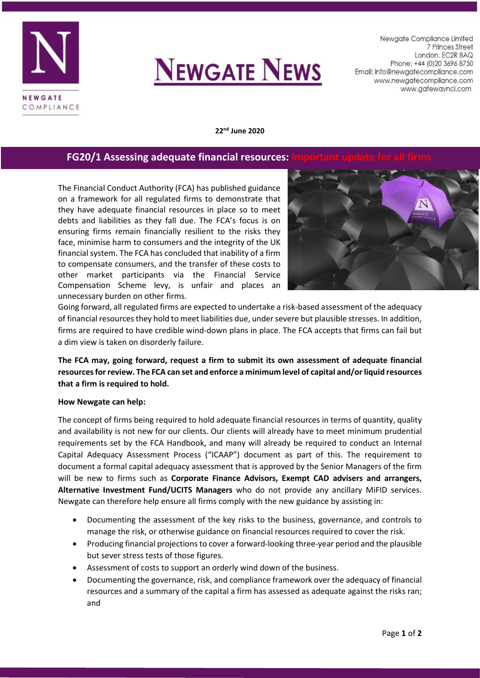



Newgate Compliance Limited 7 Princes Street London. EC2R 8AQ Phone: +44 (0) 20 3696 8750 Email: info@newgatecompliance.com www.newgatecompliance.com www.gatewayncl.com

**22nd June 2020**

## **FG20/1** Assessing adequate financial resources:

The Financial Conduct Authority (FCA) has published guidance on a framework for all regulated firms to demonstrate that they have adequate financial resources in place so to meet debts and liabilities as they fall due. The FCA's focus is on ensuring firms remain financially resilient to the risks they face, minimise harm to consumers and the integrity of the UK financial system. The FCA has concluded that inability of a firm to compensate consumers, and the transfer of these costs to other market participants via the Financial Service Compensation Scheme levy, is unfair and places an unnecessary burden on other firms.



Going forward, all regulated firms are expected to undertake a risk-based assessment of the adequacy of financial resources they hold to meet liabilities due, under severe but plausible stresses. In addition, firms are required to have credible wind-down plans in place. The FCA accepts that firms can fail but a dim view is taken on disorderly failure.

## **The FCA may, going forward, request a firm to submit its own assessment of adequate financial resources for review. The FCA can set and enforce a minimum level of capital and/or liquid resources that a firm is required to hold.**

## **How Newgate can help:**

The concept of firms being required to hold adequate financial resources in terms of quantity, quality and availability is not new for our clients. Our clients will already have to meet minimum prudential requirements set by the FCA Handbook, and many will already be required to conduct an Internal Capital Adequacy Assessment Process ("ICAAP") document as part of this. The requirement to document a formal capital adequacy assessment that is approved by the Senior Managers of the firm will be new to firms such as **Corporate Finance Advisors, Exempt CAD advisers and arrangers, Alternative Investment Fund/UCITS Managers** who do not provide any ancillary MiFID services. Newgate can therefore help ensure all firms comply with the new guidance by assisting in:

- Documenting the assessment of the key risks to the business, governance, and controls to manage the risk, or otherwise guidance on financial resources required to cover the risk.
- Producing financial projections to cover a forward-looking three-year period and the plausible but sever stress tests of those figures.
- Assessment of costs to support an orderly wind down of the business.
- Documenting the governance, risk, and compliance framework over the adequacy of financial resources and a summary of the capital a firm has assessed as adequate against the risks ran; and